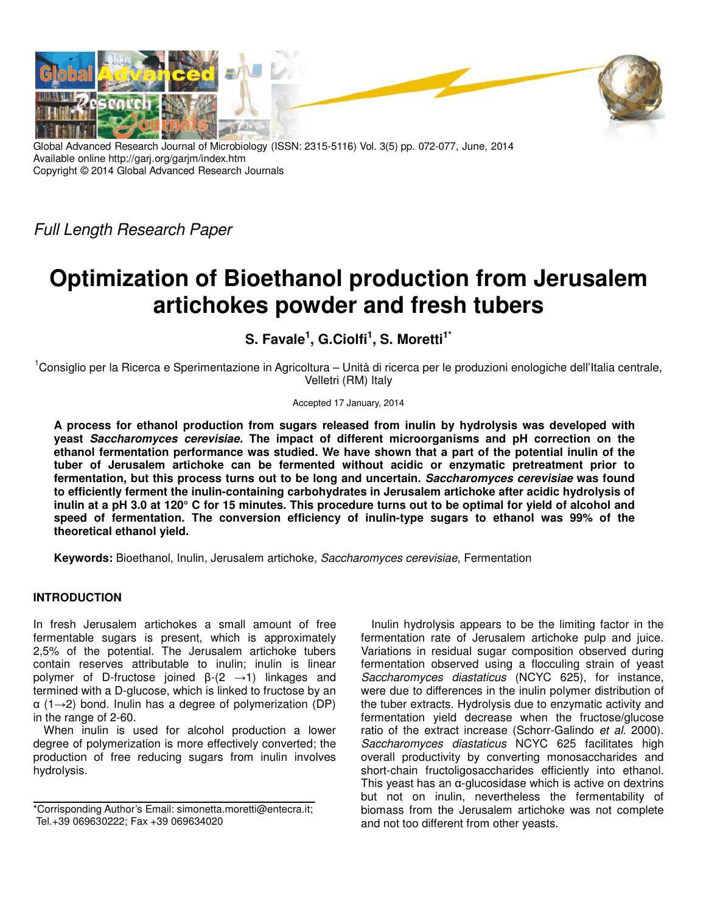

Global Advanced Research Journal of Microbiology (ISSN: 2315-5116) Vol. 3(5) pp. 072-077, June, 2014 Available online http://garj.org/garjm/index.htm Copyright © 2014 Global Advanced Research Journals

Full Length Research Paper

# **Optimization of Bioethanol production from Jerusalem artichokes powder and fresh tubers**

**S. Favale<sup>1</sup> , G.Ciolfi<sup>1</sup> , S. Moretti1\*** 

<sup>1</sup>Consiglio per la Ricerca e Sperimentazione in Agricoltura – Unità di ricerca per le produzioni enologiche dell'Italia centrale, Velletri (RM) Italy

Accepted 17 January, 2014

**A process for ethanol production from sugars released from inulin by hydrolysis was developed with yeast Saccharomyces cerevisiae. The impact of different microorganisms and pH correction on the ethanol fermentation performance was studied. We have shown that a part of the potential inulin of the tuber of Jerusalem artichoke can be fermented without acidic or enzymatic pretreatment prior to fermentation, but this process turns out to be long and uncertain. Saccharomyces cerevisiae was found to efficiently ferment the inulin-containing carbohydrates in Jerusalem artichoke after acidic hydrolysis of inulin at a pH 3.0 at 120° C for 15 minutes. This procedure turns out to be optimal for yield of alcohol and speed of fermentation. The conversion efficiency of inulin-type sugars to ethanol was 99% of the theoretical ethanol yield.** 

**Keywords:** Bioethanol, Inulin, Jerusalem artichoke, Saccharomyces cerevisiae, Fermentation

# **INTRODUCTION**

In fresh Jerusalem artichokes a small amount of free fermentable sugars is present, which is approximately 2,5% of the potential. The Jerusalem artichoke tubers contain reserves attributable to inulin; inulin is linear polymer of D-fructose joined  $\beta$ - $(2 \rightarrow 1)$  linkages and termined with a D-glucose, which is linked to fructose by an  $\alpha$  (1→2) bond. Inulin has a degree of polymerization (DP) in the range of 2-60.

When inulin is used for alcohol production a lower degree of polymerization is more effectively converted; the production of free reducing sugars from inulin involves hydrolysis.

Inulin hydrolysis appears to be the limiting factor in the fermentation rate of Jerusalem artichoke pulp and juice. Variations in residual sugar composition observed during fermentation observed using a flocculing strain of yeast Saccharomyces diastaticus (NCYC 625), for instance, were due to differences in the inulin polymer distribution of the tuber extracts. Hydrolysis due to enzymatic activity and fermentation yield decrease when the fructose/glucose ratio of the extract increase (Schorr-Galindo et al. 2000). Saccharomyces diastaticus NCYC 625 facilitates high overall productivity by converting monosaccharides and short-chain fructoligosaccharides efficiently into ethanol. This yeast has an  $\alpha$ -glucosidase which is active on dextrins but not on inulin, nevertheless the fermentability of biomass from the Jerusalem artichoke was not complete and not too different from other yeasts.

<sup>\*</sup>Corrisponding Author's Email: simonetta.moretti@entecra.it; Tel.+39 069630222; Fax +39 069634020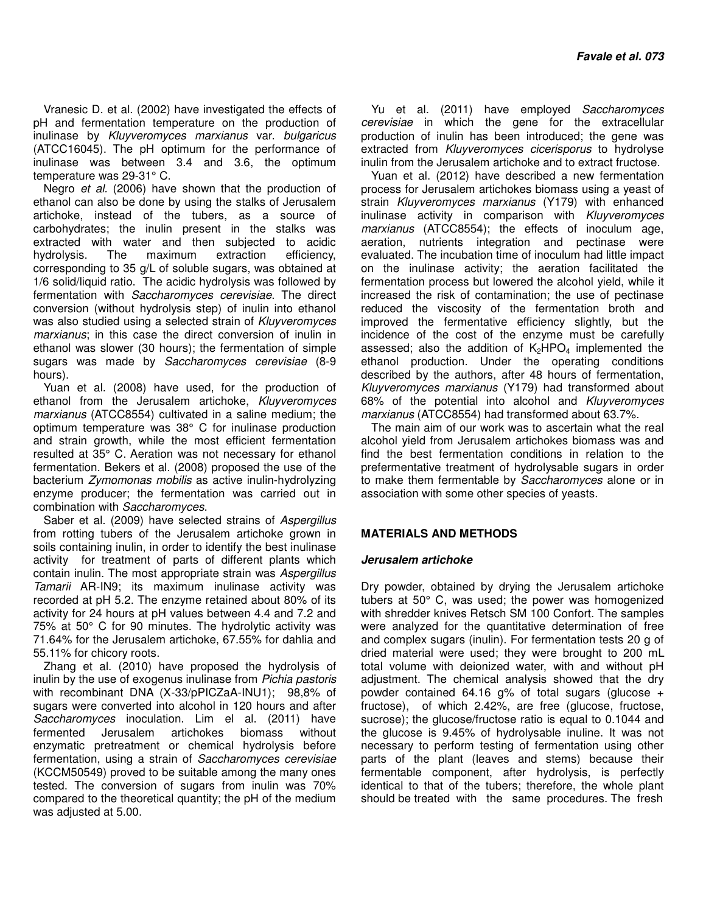Vranesic D. et al. (2002) have investigated the effects of pH and fermentation temperature on the production of inulinase by Kluyveromyces marxianus var. bulgaricus (ATCC16045). The pH optimum for the performance of inulinase was between 3.4 and 3.6, the optimum temperature was 29-31° C.

Negro et al. (2006) have shown that the production of ethanol can also be done by using the stalks of Jerusalem artichoke, instead of the tubers, as a source of carbohydrates; the inulin present in the stalks was extracted with water and then subjected to acidic hydrolysis. The maximum extraction efficiency, corresponding to 35 g/L of soluble sugars, was obtained at 1/6 solid/liquid ratio. The acidic hydrolysis was followed by fermentation with Saccharomyces cerevisiae. The direct conversion (without hydrolysis step) of inulin into ethanol was also studied using a selected strain of Kluyveromyces marxianus; in this case the direct conversion of inulin in ethanol was slower (30 hours); the fermentation of simple sugars was made by Saccharomyces cerevisiae (8-9 hours).

Yuan et al. (2008) have used, for the production of ethanol from the Jerusalem artichoke, Kluyveromyces marxianus (ATCC8554) cultivated in a saline medium; the optimum temperature was 38° C for inulinase production and strain growth, while the most efficient fermentation resulted at 35° C. Aeration was not necessary for ethanol fermentation. Bekers et al. (2008) proposed the use of the bacterium Zymomonas mobilis as active inulin-hydrolyzing enzyme producer; the fermentation was carried out in combination with Saccharomyces.

Saber et al. (2009) have selected strains of Aspergillus from rotting tubers of the Jerusalem artichoke grown in soils containing inulin, in order to identify the best inulinase activity for treatment of parts of different plants which contain inulin. The most appropriate strain was Aspergillus Tamarii AR-IN9; its maximum inulinase activity was recorded at pH 5.2. The enzyme retained about 80% of its activity for 24 hours at pH values between 4.4 and 7.2 and 75% at 50° C for 90 minutes. The hydrolytic activity was 71.64% for the Jerusalem artichoke, 67.55% for dahlia and 55.11% for chicory roots.

Zhang et al. (2010) have proposed the hydrolysis of inulin by the use of exogenus inulinase from Pichia pastoris with recombinant DNA (X-33/pPICZaA-INU1); 98,8% of sugars were converted into alcohol in 120 hours and after Saccharomyces inoculation. Lim el al. (2011) have fermented Jerusalem artichokes biomass without enzymatic pretreatment or chemical hydrolysis before fermentation, using a strain of Saccharomyces cerevisiae (KCCM50549) proved to be suitable among the many ones tested. The conversion of sugars from inulin was 70% compared to the theoretical quantity; the pH of the medium was adjusted at 5.00.

Yu et al. (2011) have employed Saccharomyces cerevisiae in which the gene for the extracellular production of inulin has been introduced; the gene was extracted from Kluyveromyces cicerisporus to hydrolyse inulin from the Jerusalem artichoke and to extract fructose.

Yuan et al. (2012) have described a new fermentation process for Jerusalem artichokes biomass using a yeast of strain Kluyveromyces marxianus (Y179) with enhanced inulinase activity in comparison with Kluyveromyces marxianus (ATCC8554); the effects of inoculum age, aeration, nutrients integration and pectinase were evaluated. The incubation time of inoculum had little impact on the inulinase activity; the aeration facilitated the fermentation process but lowered the alcohol yield, while it increased the risk of contamination; the use of pectinase reduced the viscosity of the fermentation broth and improved the fermentative efficiency slightly, but the incidence of the cost of the enzyme must be carefully assessed; also the addition of  $K_2HPO_4$  implemented the ethanol production. Under the operating conditions described by the authors, after 48 hours of fermentation, Kluyveromyces marxianus (Y179) had transformed about 68% of the potential into alcohol and Kluyveromyces marxianus (ATCC8554) had transformed about 63.7%.

The main aim of our work was to ascertain what the real alcohol yield from Jerusalem artichokes biomass was and find the best fermentation conditions in relation to the prefermentative treatment of hydrolysable sugars in order to make them fermentable by Saccharomyces alone or in association with some other species of yeasts.

# **MATERIALS AND METHODS**

#### **Jerusalem artichoke**

Dry powder, obtained by drying the Jerusalem artichoke tubers at 50° C, was used; the power was homogenized with shredder knives Retsch SM 100 Confort. The samples were analyzed for the quantitative determination of free and complex sugars (inulin). For fermentation tests 20 g of dried material were used; they were brought to 200 mL total volume with deionized water, with and without pH adjustment. The chemical analysis showed that the dry powder contained 64.16 g% of total sugars (glucose + fructose), of which 2.42%, are free (glucose, fructose, sucrose); the glucose/fructose ratio is equal to 0.1044 and the glucose is 9.45% of hydrolysable inuline. It was not necessary to perform testing of fermentation using other parts of the plant (leaves and stems) because their fermentable component, after hydrolysis, is perfectly identical to that of the tubers; therefore, the whole plant should be treated with the same procedures. The fresh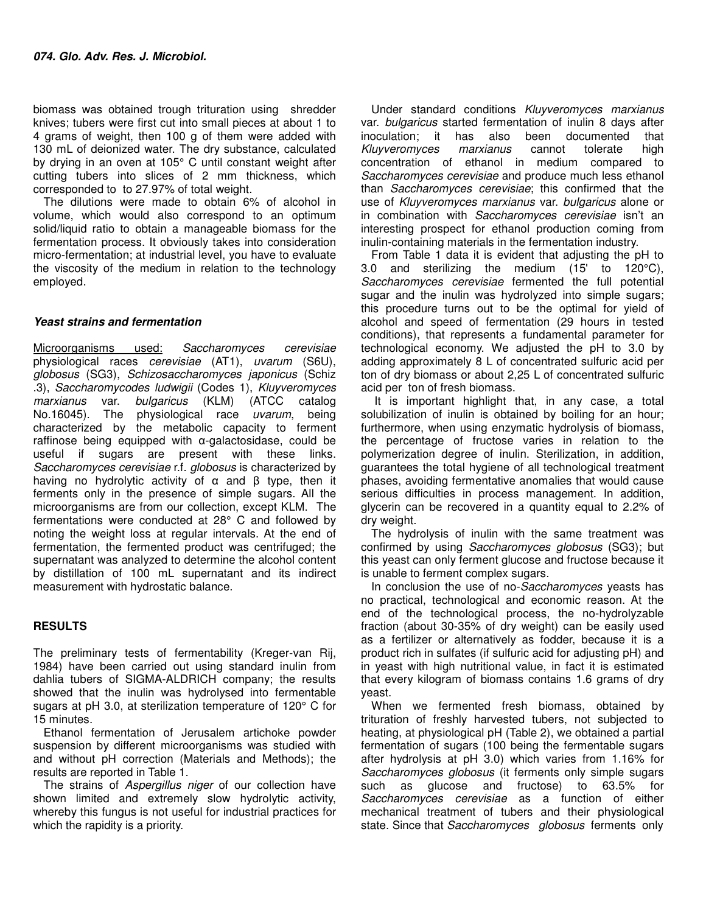biomass was obtained trough trituration using shredder knives; tubers were first cut into small pieces at about 1 to 4 grams of weight, then 100 g of them were added with 130 mL of deionized water. The dry substance, calculated by drying in an oven at 105° C until constant weight after cutting tubers into slices of 2 mm thickness, which corresponded to to 27.97% of total weight.

The dilutions were made to obtain 6% of alcohol in volume, which would also correspond to an optimum solid/liquid ratio to obtain a manageable biomass for the fermentation process. It obviously takes into consideration micro-fermentation; at industrial level, you have to evaluate the viscosity of the medium in relation to the technology employed.

# **Yeast strains and fermentation**

Microorganisms used: Saccharomyces cerevisiae physiological races cerevisiae (AT1), uvarum (S6U), globosus (SG3), Schizosaccharomyces japonicus (Schiz .3), Saccharomycodes ludwigii (Codes 1), Kluyveromyces marxianus var. bulgaricus (KLM) (ATCC catalog No.16045). The physiological race uvarum, being characterized by the metabolic capacity to ferment raffinose being equipped with α-galactosidase, could be useful if sugars are present with these links. Saccharomyces cerevisiae r.f. globosus is characterized by having no hydrolytic activity of  $\alpha$  and  $\beta$  type, then it ferments only in the presence of simple sugars. All the microorganisms are from our collection, except KLM. The fermentations were conducted at 28° C and followed by noting the weight loss at regular intervals. At the end of fermentation, the fermented product was centrifuged; the supernatant was analyzed to determine the alcohol content by distillation of 100 mL supernatant and its indirect measurement with hydrostatic balance.

# **RESULTS**

The preliminary tests of fermentability (Kreger-van Rij, 1984) have been carried out using standard inulin from dahlia tubers of SIGMA-ALDRICH company; the results showed that the inulin was hydrolysed into fermentable sugars at pH 3.0, at sterilization temperature of 120° C for 15 minutes.

Ethanol fermentation of Jerusalem artichoke powder suspension by different microorganisms was studied with and without pH correction (Materials and Methods); the results are reported in Table 1.

The strains of Aspergillus niger of our collection have shown limited and extremely slow hydrolytic activity, whereby this fungus is not useful for industrial practices for which the rapidity is a priority.

Under standard conditions Kluyveromyces marxianus var. bulgaricus started fermentation of inulin 8 days after inoculation; it has also been documented that Kluyveromyces marxianus cannot tolerate high concentration of ethanol in medium compared to Saccharomyces cerevisiae and produce much less ethanol than Saccharomyces cerevisiae; this confirmed that the use of Kluyveromyces marxianus var. bulgaricus alone or in combination with Saccharomyces cerevisiae isn't an interesting prospect for ethanol production coming from inulin-containing materials in the fermentation industry.

From Table 1 data it is evident that adjusting the pH to 3.0 and sterilizing the medium (15' to 120°C), Saccharomyces cerevisiae fermented the full potential sugar and the inulin was hydrolyzed into simple sugars; this procedure turns out to be the optimal for yield of alcohol and speed of fermentation (29 hours in tested conditions), that represents a fundamental parameter for technological economy. We adjusted the pH to 3.0 by adding approximately 8 L of concentrated sulfuric acid per ton of dry biomass or about 2,25 L of concentrated sulfuric acid per ton of fresh biomass.

 It is important highlight that, in any case, a total solubilization of inulin is obtained by boiling for an hour; furthermore, when using enzymatic hydrolysis of biomass, the percentage of fructose varies in relation to the polymerization degree of inulin. Sterilization, in addition, guarantees the total hygiene of all technological treatment phases, avoiding fermentative anomalies that would cause serious difficulties in process management. In addition, glycerin can be recovered in a quantity equal to 2.2% of dry weight.

The hydrolysis of inulin with the same treatment was confirmed by using Saccharomyces globosus (SG3); but this yeast can only ferment glucose and fructose because it is unable to ferment complex sugars.

In conclusion the use of no-Saccharomyces yeasts has no practical, technological and economic reason. At the end of the technological process, the no-hydrolyzable fraction (about 30-35% of dry weight) can be easily used as a fertilizer or alternatively as fodder, because it is a product rich in sulfates (if sulfuric acid for adjusting pH) and in yeast with high nutritional value, in fact it is estimated that every kilogram of biomass contains 1.6 grams of dry yeast.

When we fermented fresh biomass, obtained by trituration of freshly harvested tubers, not subjected to heating, at physiological pH (Table 2), we obtained a partial fermentation of sugars (100 being the fermentable sugars after hydrolysis at pH 3.0) which varies from 1.16% for Saccharomyces globosus (it ferments only simple sugars such as glucose and fructose) to 63.5% for Saccharomyces cerevisiae as a function of either mechanical treatment of tubers and their physiological state. Since that Saccharomyces globosus ferments only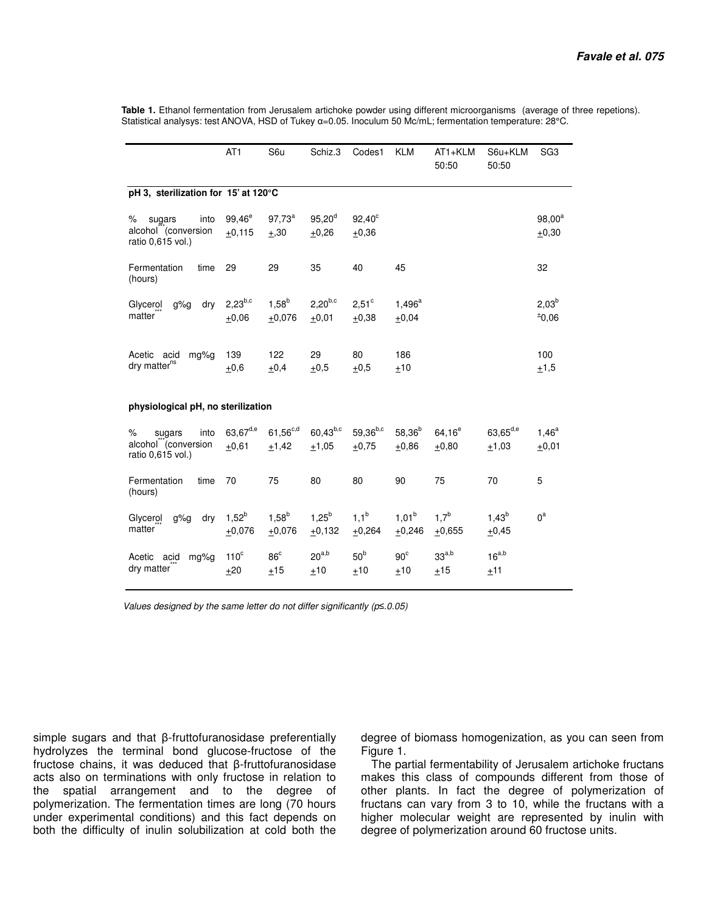**Table 1.** Ethanol fermentation from Jerusalem artichoke powder using different microorganisms (average of three repetions). Statistical analysys: test ANOVA, HSD of Tukey α=0.05. Inoculum 50 Mc/mL; fermentation temperature: 28°C.

|                                                                                 | AT <sub>1</sub>         | S6u                    | Schiz.3                 | Codes1                          | <b>KLM</b>             | AT1+KLM<br>50:50     | S6u+KLM<br>50:50         | SG <sub>3</sub>      |  |  |  |  |
|---------------------------------------------------------------------------------|-------------------------|------------------------|-------------------------|---------------------------------|------------------------|----------------------|--------------------------|----------------------|--|--|--|--|
| pH 3, sterilization for 15' at 120°C                                            |                         |                        |                         |                                 |                        |                      |                          |                      |  |  |  |  |
| $\%$<br>into<br>sugars<br>alcohol <sup>"</sup> (conversion<br>ratio 0,615 vol.) | $99,46^e$<br>$+0.115$   | $97,73^a$<br>$+, 30$   | $95,20^d$<br>$+0,26$    | $92,40^{\circ}$<br>$+0,36$      |                        |                      |                          | $98,00^a$<br>$+0,30$ |  |  |  |  |
| Fermentation<br>time<br>(hours)                                                 | 29                      | 29                     | 35                      | 40                              | 45                     |                      |                          | 32                   |  |  |  |  |
| g%g<br>dry<br>Glycerol<br>matter                                                | $2.23^{b,c}$<br>$+0,06$ | $1,58^{b}$<br>$+0,076$ | $2,20^{b,c}$<br>$+0,01$ | $2,51^{\circ}$<br>$+0,38$       | $1,496^a$<br>$+0,04$   |                      |                          | $2,03^b$<br>$*0,06$  |  |  |  |  |
| Acetic acid<br>mg%g<br>dry matter <sup>ns</sup>                                 | 139<br>$\pm$ 0,6        | 122<br>$+0,4$          | 29<br>$\pm$ 0,5         | 80<br>$+0,5$                    | 186<br>±10             |                      |                          | 100<br>±1,5          |  |  |  |  |
| physiological pH, no sterilization                                              |                         |                        |                         |                                 |                        |                      |                          |                      |  |  |  |  |
| $\%$<br>into<br>sugars<br>alcohol" (conversion<br>ratio 0,615 vol.)             | $63,67^{d,e}$<br>±0,61  | $61,56^{c,d}$<br>±1,42 | $60,43^{b,c}$<br>±1,05  | 59,36 <sup>b,c</sup><br>$+0,75$ | $58,36^{b}$<br>$+0,86$ | $64.16^e$<br>$+0,80$ | $63,65^{d,e}$<br>$+1,03$ | $1,46^a$<br>$+0,01$  |  |  |  |  |
| Fermentation<br>time<br>(hours)                                                 | 70                      | 75                     | 80                      | 80                              | 90                     | 75                   | 70                       | 5                    |  |  |  |  |
| dry<br>Glycerol<br>g%g<br>matter                                                | $1,52^{b}$<br>$+0,076$  | $1,58^{b}$<br>$+0,076$ | $1,25^{b}$<br>$+0,132$  | $1,1^b$<br>$+0,264$             | $1.01^{b}$<br>$+0,246$ | $1,7^b$<br>$+0,655$  | $1,43^{b}$<br>$+0,45$    | $0^a$                |  |  |  |  |
| Acetic<br>mg%g<br>acid<br>dry matter                                            | $110^c$<br>±20          | $86^{\circ}$<br>$+15$  | $20^{a,b}$<br>±10       | 50 <sup>b</sup><br>$+10$        | $90^{\circ}$<br>$+10$  | $33^{a,b}$<br>$+15$  | $16^{a,b}$<br>±11        |                      |  |  |  |  |

Values designed by the same letter do not differ significantly (p*≤*.0.05)

simple sugars and that β-fruttofuranosidase preferentially hydrolyzes the terminal bond glucose-fructose of the fructose chains, it was deduced that β-fruttofuranosidase acts also on terminations with only fructose in relation to the spatial arrangement and to the degree of polymerization. The fermentation times are long (70 hours under experimental conditions) and this fact depends on both the difficulty of inulin solubilization at cold both the

degree of biomass homogenization, as you can seen from Figure 1.

The partial fermentability of Jerusalem artichoke fructans makes this class of compounds different from those of other plants. In fact the degree of polymerization of fructans can vary from 3 to 10, while the fructans with a higher molecular weight are represented by inulin with degree of polymerization around 60 fructose units.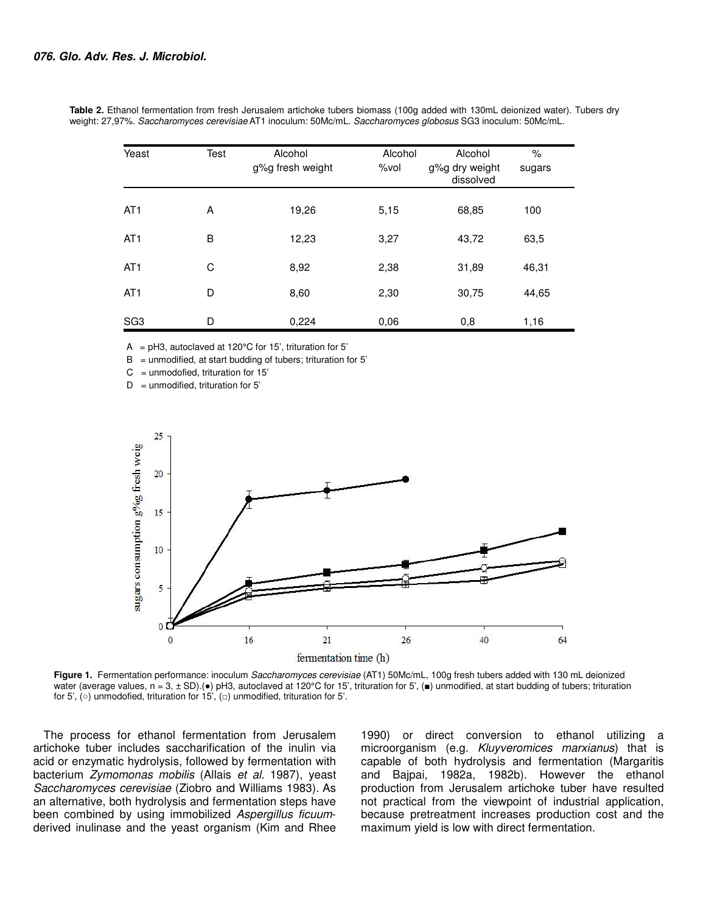| Yeast           | Test | Alcohol<br>g%g fresh weight | Alcohol<br>$%$ vol | Alcohol<br>g%g dry weight<br>dissolved | $\%$<br>sugars |
|-----------------|------|-----------------------------|--------------------|----------------------------------------|----------------|
| AT <sub>1</sub> | A    | 19,26                       | 5,15               | 68,85                                  | 100            |
| AT <sub>1</sub> | B    | 12,23                       | 3,27               | 43,72                                  | 63,5           |
| AT <sub>1</sub> | C    | 8,92                        | 2,38               | 31,89                                  | 46,31          |
| AT <sub>1</sub> | D    | 8,60                        | 2,30               | 30,75                                  | 44,65          |
| SG <sub>3</sub> | D    | 0,224                       | 0.06               | 0,8                                    | 1,16           |

**Table 2.** Ethanol fermentation from fresh Jerusalem artichoke tubers biomass (100g added with 130mL deionized water). Tubers dry weight: 27,97%. Saccharomyces cerevisiae AT1 inoculum: 50Mc/mL. Saccharomyces globosus SG3 inoculum: 50Mc/mL.

A =  $pH3$ , autoclaved at 120 $^{\circ}$ C for 15', trituration for 5'

 $B =$  unmodified, at start budding of tubers; trituration for 5'

 $C =$  unmodofied, trituration for 15'

 $D =$  unmodified, trituration for 5'



**Figure 1.** Fermentation performance: inoculum Saccharomyces cerevisiae (AT1) 50Mc/mL, 100g fresh tubers added with 130 mL deionized water (average values,  $n = 3$ ,  $\pm$  SD).( $\bullet$ ) pH3, autoclaved at 120°C for 15', trituration for 5',  $\bullet$ ) unmodified, at start budding of tubers; trituration for 5', ( $\circ$ ) unmodofied, trituration for 15', ( $\circ$ ) unmodified, trituration for 5'.

The process for ethanol fermentation from Jerusalem artichoke tuber includes saccharification of the inulin via acid or enzymatic hydrolysis, followed by fermentation with bacterium Zymomonas mobilis (Allais et al. 1987), yeast Saccharomyces cerevisiae (Ziobro and Williams 1983). As an alternative, both hydrolysis and fermentation steps have been combined by using immobilized Aspergillus ficuumderived inulinase and the yeast organism (Kim and Rhee

1990) or direct conversion to ethanol utilizing a microorganism (e.g. Kluyveromices marxianus) that is capable of both hydrolysis and fermentation (Margaritis and Bajpai, 1982a, 1982b). However the ethanol production from Jerusalem artichoke tuber have resulted not practical from the viewpoint of industrial application, because pretreatment increases production cost and the maximum yield is low with direct fermentation.